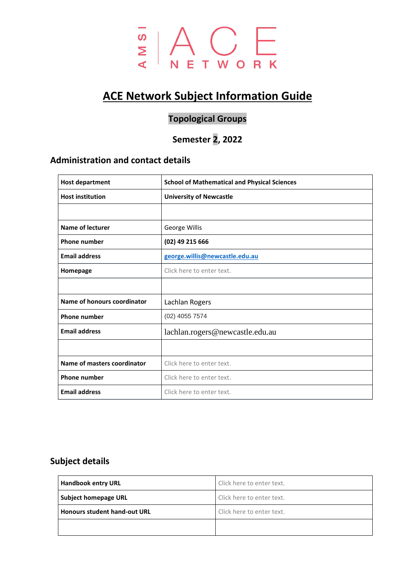

# **ACE Network Subject Information Guide**

# **Topological Groups**

# **Semester 2, 2022**

# **Administration and contact details**

| <b>Host department</b>      | <b>School of Mathematical and Physical Sciences</b> |  |
|-----------------------------|-----------------------------------------------------|--|
| <b>Host institution</b>     | <b>University of Newcastle</b>                      |  |
|                             |                                                     |  |
| <b>Name of lecturer</b>     | George Willis                                       |  |
| <b>Phone number</b>         | (02) 49 215 666                                     |  |
| <b>Email address</b>        | george.willis@newcastle.edu.au                      |  |
| Homepage                    | Click here to enter text.                           |  |
|                             |                                                     |  |
| Name of honours coordinator | Lachlan Rogers                                      |  |
| <b>Phone number</b>         | (02) 4055 7574                                      |  |
| <b>Email address</b>        | lachlan.rogers@newcastle.edu.au                     |  |
|                             |                                                     |  |
| Name of masters coordinator | Click here to enter text.                           |  |
| <b>Phone number</b>         | Click here to enter text.                           |  |
| <b>Email address</b>        | Click here to enter text.                           |  |

## **Subject details**

| <b>Handbook entry URL</b>           | Click here to enter text. |
|-------------------------------------|---------------------------|
| <b>Subject homepage URL</b>         | Click here to enter text. |
| <b>Honours student hand-out URL</b> | Click here to enter text. |
|                                     |                           |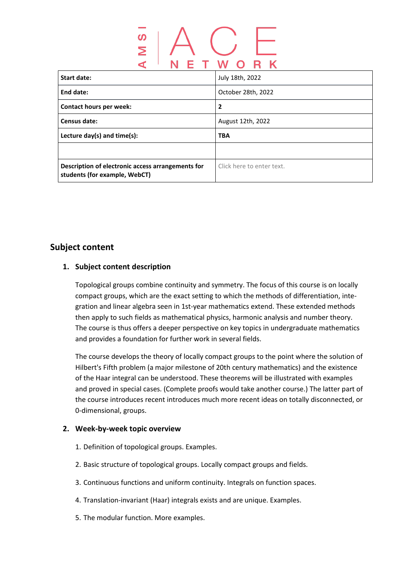| Start date:                                                                        | July 18th, 2022           |
|------------------------------------------------------------------------------------|---------------------------|
| End date:                                                                          | October 28th, 2022        |
| Contact hours per week:                                                            | 2                         |
| Census date:                                                                       | August 12th, 2022         |
| Lecture day(s) and time(s):                                                        | <b>TBA</b>                |
|                                                                                    |                           |
| Description of electronic access arrangements for<br>students (for example, WebCT) | Click here to enter text. |

### **Subject content**

#### **1. Subject content description**

Topological groups combine continuity and symmetry. The focus of this course is on locally compact groups, which are the exact setting to which the methods of differentiation, integration and linear algebra seen in 1st-year mathematics extend. These extended methods then apply to such fields as mathematical physics, harmonic analysis and number theory. The course is thus offers a deeper perspective on key topics in undergraduate mathematics and provides a foundation for further work in several fields.

The course develops the theory of locally compact groups to the point where the solution of Hilbert's Fifth problem (a major milestone of 20th century mathematics) and the existence of the Haar integral can be understood. These theorems will be illustrated with examples and proved in special cases. (Complete proofs would take another course.) The latter part of the course introduces recent introduces much more recent ideas on totally disconnected, or 0-dimensional, groups.

#### **2. Week-by-week topic overview**

- 1. Definition of topological groups. Examples.
- 2. Basic structure of topological groups. Locally compact groups and fields.
- 3. Continuous functions and uniform continuity. Integrals on function spaces.
- 4. Translation-invariant (Haar) integrals exists and are unique. Examples.
- 5. The modular function. More examples.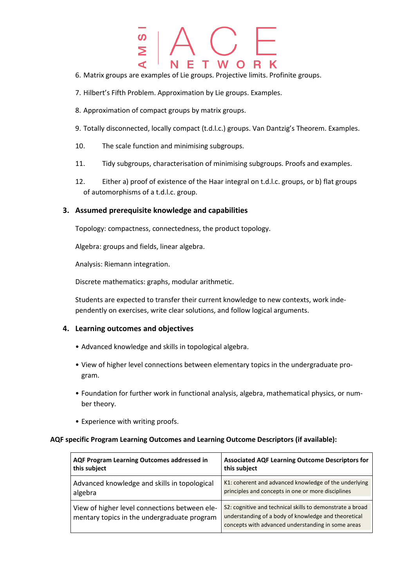# W O т

- 6. Matrix groups are examples of Lie groups. Projective limits. Profinite groups.
- 7. Hilbert's Fifth Problem. Approximation by Lie groups. Examples.
- 8. Approximation of compact groups by matrix groups.
- 9. Totally disconnected, locally compact (t.d.l.c.) groups. Van Dantzig's Theorem. Examples.
- 10. The scale function and minimising subgroups.
- 11. Tidy subgroups, characterisation of minimising subgroups. Proofs and examples.
- 12. Either a) proof of existence of the Haar integral on t.d.l.c. groups, or b) flat groups of automorphisms of a t.d.l.c. group.

#### **3. Assumed prerequisite knowledge and capabilities**

Topology: compactness, connectedness, the product topology.

Algebra: groups and fields, linear algebra.

Analysis: Riemann integration.

Discrete mathematics: graphs, modular arithmetic.

Students are expected to transfer their current knowledge to new contexts, work independently on exercises, write clear solutions, and follow logical arguments.

#### **4. Learning outcomes and objectives**

- Advanced knowledge and skills in topological algebra.
- View of higher level connections between elementary topics in the undergraduate program.
- Foundation for further work in functional analysis, algebra, mathematical physics, or number theory.
- Experience with writing proofs.

#### **AQF specific Program Learning Outcomes and Learning Outcome Descriptors (if available):**

| AQF Program Learning Outcomes addressed in                                                   | <b>Associated AQF Learning Outcome Descriptors for</b>                                                                                                                  |
|----------------------------------------------------------------------------------------------|-------------------------------------------------------------------------------------------------------------------------------------------------------------------------|
| this subject                                                                                 | this subject                                                                                                                                                            |
| Advanced knowledge and skills in topological                                                 | K1: coherent and advanced knowledge of the underlying                                                                                                                   |
| algebra                                                                                      | principles and concepts in one or more disciplines                                                                                                                      |
| View of higher level connections between ele-<br>mentary topics in the undergraduate program | S2: cognitive and technical skills to demonstrate a broad<br>understanding of a body of knowledge and theoretical<br>concepts with advanced understanding in some areas |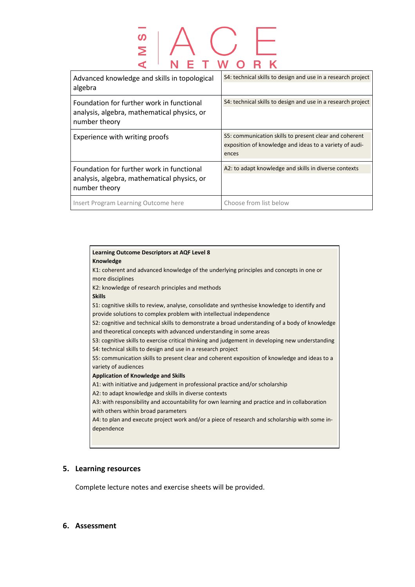#### Æ A M S W O R K N Τ

| Advanced knowledge and skills in topological<br>algebra                                                   | S4: technical skills to design and use in a research project                                                               |
|-----------------------------------------------------------------------------------------------------------|----------------------------------------------------------------------------------------------------------------------------|
| Foundation for further work in functional<br>analysis, algebra, mathematical physics, or<br>number theory | S4: technical skills to design and use in a research project                                                               |
| Experience with writing proofs                                                                            | S5: communication skills to present clear and coherent<br>exposition of knowledge and ideas to a variety of audi-<br>ences |
| Foundation for further work in functional<br>analysis, algebra, mathematical physics, or<br>number theory | A2: to adapt knowledge and skills in diverse contexts                                                                      |
| Insert Program Learning Outcome here                                                                      | Choose from list below                                                                                                     |

| <b>Learning Outcome Descriptors at AQF Level 8</b>                                               |
|--------------------------------------------------------------------------------------------------|
| <b>Knowledge</b>                                                                                 |
| K1: coherent and advanced knowledge of the underlying principles and concepts in one or          |
| more disciplines                                                                                 |
| K2: knowledge of research principles and methods                                                 |
| <b>Skills</b>                                                                                    |
| S1: cognitive skills to review, analyse, consolidate and synthesise knowledge to identify and    |
| provide solutions to complex problem with intellectual independence                              |
| S2: cognitive and technical skills to demonstrate a broad understanding of a body of knowledge   |
| and theoretical concepts with advanced understanding in some areas                               |
| S3: cognitive skills to exercise critical thinking and judgement in developing new understanding |
| S4: technical skills to design and use in a research project                                     |
| S5: communication skills to present clear and coherent exposition of knowledge and ideas to a    |
| variety of audiences                                                                             |
| <b>Application of Knowledge and Skills</b>                                                       |
| A1: with initiative and judgement in professional practice and/or scholarship                    |
| A2: to adapt knowledge and skills in diverse contexts                                            |
| A3: with responsibility and accountability for own learning and practice and in collaboration    |
| with others within broad parameters                                                              |
| A4: to plan and execute project work and/or a piece of research and scholarship with some in-    |
| dependence                                                                                       |
|                                                                                                  |
|                                                                                                  |

#### **5. Learning resources**

Complete lecture notes and exercise sheets will be provided.

#### **6. Assessment**